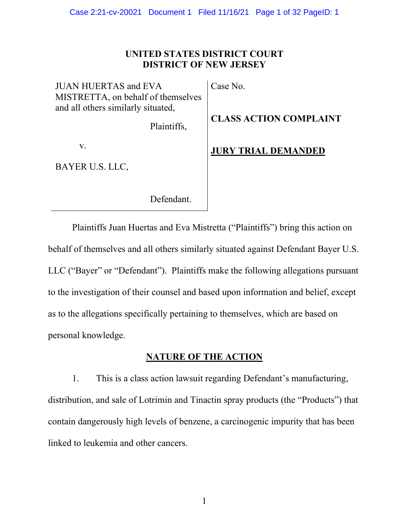Case 2:21-cv-20021 Document 1 Filed 11/16/21 Page 1 of 32 PageID: 1

### **UNITED STATES DISTRICT COURT DISTRICT OF NEW JERSEY**

JUAN HUERTAS and EVA MISTRETTA, on behalf of themselves and all others similarly situated,

Plaintiffs,

v.

BAYER U.S. LLC,

Defendant.

Case No.

**CLASS ACTION COMPLAINT**

**JURY TRIAL DEMANDED**

Plaintiffs Juan Huertas and Eva Mistretta ("Plaintiffs") bring this action on behalf of themselves and all others similarly situated against Defendant Bayer U.S. LLC ("Bayer" or "Defendant"). Plaintiffs make the following allegations pursuant to the investigation of their counsel and based upon information and belief, except as to the allegations specifically pertaining to themselves, which are based on personal knowledge.

### **NATURE OF THE ACTION**

1. This is a class action lawsuit regarding Defendant's manufacturing, distribution, and sale of Lotrimin and Tinactin spray products (the "Products") that contain dangerously high levels of benzene, a carcinogenic impurity that has been linked to leukemia and other cancers.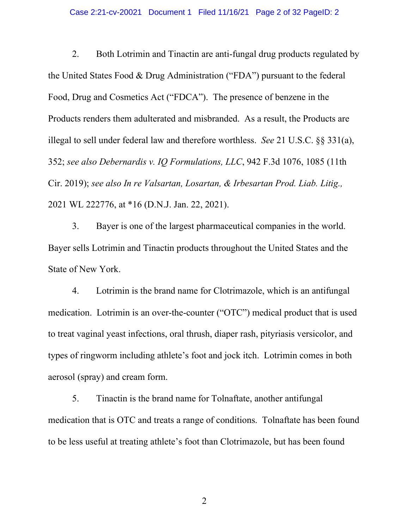#### Case 2:21-cv-20021 Document 1 Filed 11/16/21 Page 2 of 32 PageID: 2

2. Both Lotrimin and Tinactin are anti-fungal drug products regulated by the United States Food & Drug Administration ("FDA") pursuant to the federal Food, Drug and Cosmetics Act ("FDCA"). The presence of benzene in the Products renders them adulterated and misbranded. As a result, the Products are illegal to sell under federal law and therefore worthless. *See* 21 U.S.C. §§ 331(a), 352; *see also Debernardis v. IQ Formulations, LLC*, 942 F.3d 1076, 1085 (11th Cir. 2019); *see also In re Valsartan, Losartan, & Irbesartan Prod. Liab. Litig.,*  2021 WL 222776, at \*16 (D.N.J. Jan. 22, 2021).

3. Bayer is one of the largest pharmaceutical companies in the world. Bayer sells Lotrimin and Tinactin products throughout the United States and the State of New York.

4. Lotrimin is the brand name for Clotrimazole, which is an antifungal medication. Lotrimin is an over-the-counter ("OTC") medical product that is used to treat vaginal yeast infections, oral thrush, diaper rash, pityriasis versicolor, and types of ringworm including athlete's foot and jock itch. Lotrimin comes in both aerosol (spray) and cream form.

5. Tinactin is the brand name for Tolnaftate, another antifungal medication that is OTC and treats a range of conditions. Tolnaftate has been found to be less useful at treating athlete's foot than Clotrimazole, but has been found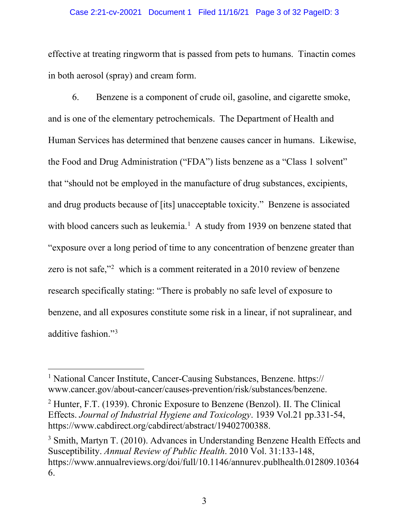#### Case 2:21-cv-20021 Document 1 Filed 11/16/21 Page 3 of 32 PageID: 3

effective at treating ringworm that is passed from pets to humans. Tinactin comes in both aerosol (spray) and cream form.

6. Benzene is a component of crude oil, gasoline, and cigarette smoke, and is one of the elementary petrochemicals. The Department of Health and Human Services has determined that benzene causes cancer in humans. Likewise, the Food and Drug Administration ("FDA") lists benzene as a "Class 1 solvent" that "should not be employed in the manufacture of drug substances, excipients, and drug products because of [its] unacceptable toxicity." Benzene is associated with blood cancers such as leukemia.<sup>[1](#page-2-0)</sup> A study from 1939 on benzene stated that "exposure over a long period of time to any concentration of benzene greater than zero is not safe,"<sup>[2](#page-2-1)</sup> which is a comment reiterated in a 2010 review of benzene research specifically stating: "There is probably no safe level of exposure to benzene, and all exposures constitute some risk in a linear, if not supralinear, and additive fashion."[3](#page-2-2)

<span id="page-2-0"></span><sup>&</sup>lt;sup>1</sup> National Cancer Institute, Cancer-Causing Substances, Benzene. https:// www.cancer.gov/about-cancer/causes-prevention/risk/substances/benzene.

<span id="page-2-1"></span><sup>2</sup> Hunter, F.T. (1939). Chronic Exposure to Benzene (Benzol). II. The Clinical Effects. *Journal of Industrial Hygiene and Toxicology*. 1939 Vol.21 pp.331-54, https://www.cabdirect.org/cabdirect/abstract/19402700388.

<span id="page-2-2"></span><sup>&</sup>lt;sup>3</sup> Smith, Martyn T. (2010). Advances in Understanding Benzene Health Effects and Susceptibility. *Annual Review of Public Health*. 2010 Vol. 31:133-148, https://www.annualreviews.org/doi/full/10.1146/annurev.publhealth.012809.10364 6.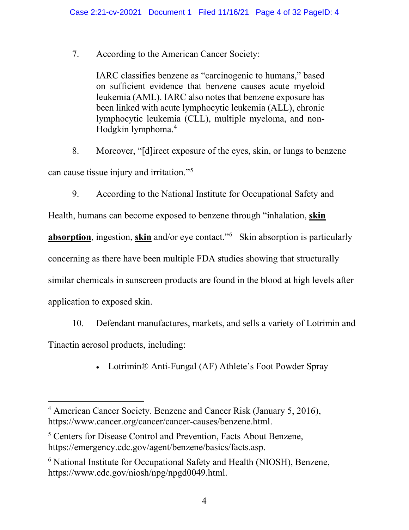7. According to the American Cancer Society:

IARC classifies benzene as "carcinogenic to humans," based on sufficient evidence that benzene causes acute myeloid leukemia (AML). IARC also notes that benzene exposure has been linked with acute lymphocytic leukemia (ALL), chronic lymphocytic leukemia (CLL), multiple myeloma, and non-Hodgkin lymphoma[.4](#page-3-0)

8. Moreover, "[d]irect exposure of the eyes, skin, or lungs to benzene can cause tissue injury and irritation."[5](#page-3-1)

9. According to the National Institute for Occupational Safety and

Health, humans can become exposed to benzene through "inhalation, **skin** 

**absorption**, ingestion, **skin** and/or eye contact."[6](#page-3-2) Skin absorption is particularly

concerning as there have been multiple FDA studies showing that structurally

similar chemicals in sunscreen products are found in the blood at high levels after

application to exposed skin.

10. Defendant manufactures, markets, and sells a variety of Lotrimin and Tinactin aerosol products, including:

• Lotrimin® Anti-Fungal (AF) Athlete's Foot Powder Spray

<span id="page-3-0"></span><sup>4</sup> American Cancer Society. Benzene and Cancer Risk (January 5, 2016), https://www.cancer.org/cancer/cancer-causes/benzene.html.

<span id="page-3-1"></span><sup>5</sup> Centers for Disease Control and Prevention, Facts About Benzene, https://emergency.cdc.gov/agent/benzene/basics/facts.asp.

<span id="page-3-2"></span><sup>6</sup> National Institute for Occupational Safety and Health (NIOSH), Benzene, https://www.cdc.gov/niosh/npg/npgd0049.html.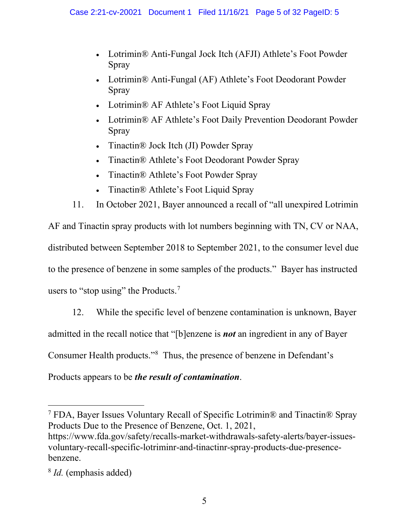- Lotrimin® Anti-Fungal Jock Itch (AFJI) Athlete's Foot Powder Spray
- Lotrimin® Anti-Fungal (AF) Athlete's Foot Deodorant Powder Spray
- Lotrimin® AF Athlete's Foot Liquid Spray
- Lotrimin® AF Athlete's Foot Daily Prevention Deodorant Powder Spray
- Tinactin® Jock Itch (JI) Powder Spray
- Tinactin® Athlete's Foot Deodorant Powder Spray
- Tinactin® Athlete's Foot Powder Spray
- Tinactin® Athlete's Foot Liquid Spray
- 11. In October 2021, Bayer announced a recall of "all unexpired Lotrimin

AF and Tinactin spray products with lot numbers beginning with TN, CV or NAA, distributed between September 2018 to September 2021, to the consumer level due to the presence of benzene in some samples of the products." Bayer has instructed users to "stop using" the Products.<sup>[7](#page-4-0)</sup>

12. While the specific level of benzene contamination is unknown, Bayer admitted in the recall notice that "[b]enzene is *not* an ingredient in any of Bayer Consumer Health products."[8](#page-4-1) Thus, the presence of benzene in Defendant's Products appears to be *the result of contamination*.

https://www.fda.gov/safety/recalls-market-withdrawals-safety-alerts/bayer-issuesvoluntary-recall-specific-lotriminr-and-tinactinr-spray-products-due-presencebenzene.

<span id="page-4-0"></span><sup>7</sup> FDA, Bayer Issues Voluntary Recall of Specific Lotrimin® and Tinactin® Spray Products Due to the Presence of Benzene, Oct. 1, 2021,

<span id="page-4-1"></span><sup>8</sup> *Id.* (emphasis added)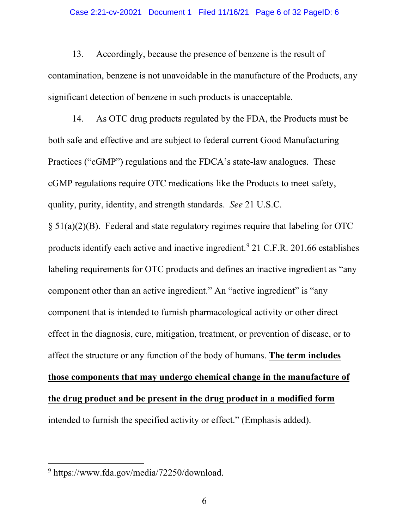#### Case 2:21-cv-20021 Document 1 Filed 11/16/21 Page 6 of 32 PageID: 6

13. Accordingly, because the presence of benzene is the result of contamination, benzene is not unavoidable in the manufacture of the Products, any significant detection of benzene in such products is unacceptable.

14. As OTC drug products regulated by the FDA, the Products must be both safe and effective and are subject to federal current Good Manufacturing Practices ("cGMP") regulations and the FDCA's state-law analogues. These cGMP regulations require OTC medications like the Products to meet safety, quality, purity, identity, and strength standards. *See* 21 U.S.C.

§ 51(a)(2)(B). Federal and state regulatory regimes require that labeling for OTC products identify each active and inactive ingredient.[9](#page-5-0) 21 C.F.R. 201.66 establishes labeling requirements for OTC products and defines an inactive ingredient as "any component other than an active ingredient." An "active ingredient" is "any component that is intended to furnish pharmacological activity or other direct effect in the diagnosis, cure, mitigation, treatment, or prevention of disease, or to affect the structure or any function of the body of humans. **The term includes those components that may undergo chemical change in the manufacture of the drug product and be present in the drug product in a modified form** intended to furnish the specified activity or effect." (Emphasis added).

<span id="page-5-0"></span><sup>9</sup> https://www.fda.gov/media/72250/download.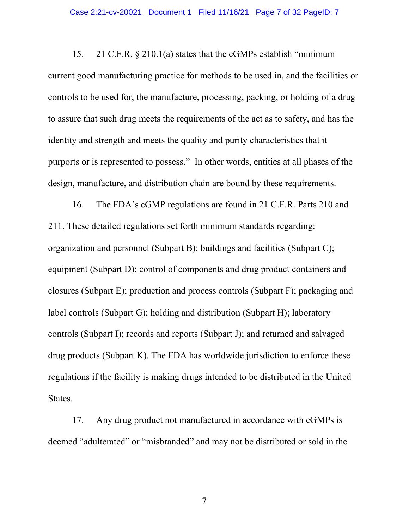15. 21 C.F.R. § 210.1(a) states that the cGMPs establish "minimum current good manufacturing practice for methods to be used in, and the facilities or controls to be used for, the manufacture, processing, packing, or holding of a drug to assure that such drug meets the requirements of the act as to safety, and has the identity and strength and meets the quality and purity characteristics that it purports or is represented to possess." In other words, entities at all phases of the design, manufacture, and distribution chain are bound by these requirements.

16. The FDA's cGMP regulations are found in 21 C.F.R. Parts 210 and 211. These detailed regulations set forth minimum standards regarding: organization and personnel (Subpart B); buildings and facilities (Subpart C); equipment (Subpart D); control of components and drug product containers and closures (Subpart E); production and process controls (Subpart F); packaging and label controls (Subpart G); holding and distribution (Subpart H); laboratory controls (Subpart I); records and reports (Subpart J); and returned and salvaged drug products (Subpart K). The FDA has worldwide jurisdiction to enforce these regulations if the facility is making drugs intended to be distributed in the United States.

17. Any drug product not manufactured in accordance with cGMPs is deemed "adulterated" or "misbranded" and may not be distributed or sold in the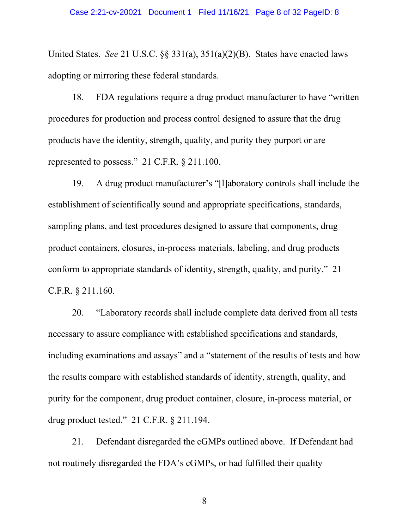United States. *See* 21 U.S.C. §§ 331(a), 351(a)(2)(B). States have enacted laws adopting or mirroring these federal standards.

18. FDA regulations require a drug product manufacturer to have "written procedures for production and process control designed to assure that the drug products have the identity, strength, quality, and purity they purport or are represented to possess." 21 C.F.R. § 211.100.

19. A drug product manufacturer's "[l]aboratory controls shall include the establishment of scientifically sound and appropriate specifications, standards, sampling plans, and test procedures designed to assure that components, drug product containers, closures, in-process materials, labeling, and drug products conform to appropriate standards of identity, strength, quality, and purity." 21 C.F.R. § 211.160.

20. "Laboratory records shall include complete data derived from all tests necessary to assure compliance with established specifications and standards, including examinations and assays" and a "statement of the results of tests and how the results compare with established standards of identity, strength, quality, and purity for the component, drug product container, closure, in-process material, or drug product tested." 21 C.F.R. § 211.194.

21. Defendant disregarded the cGMPs outlined above. If Defendant had not routinely disregarded the FDA's cGMPs, or had fulfilled their quality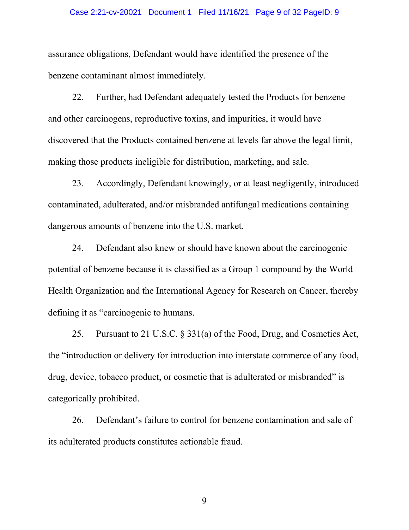#### Case 2:21-cv-20021 Document 1 Filed 11/16/21 Page 9 of 32 PageID: 9

assurance obligations, Defendant would have identified the presence of the benzene contaminant almost immediately.

22. Further, had Defendant adequately tested the Products for benzene and other carcinogens, reproductive toxins, and impurities, it would have discovered that the Products contained benzene at levels far above the legal limit, making those products ineligible for distribution, marketing, and sale.

23. Accordingly, Defendant knowingly, or at least negligently, introduced contaminated, adulterated, and/or misbranded antifungal medications containing dangerous amounts of benzene into the U.S. market.

24. Defendant also knew or should have known about the carcinogenic potential of benzene because it is classified as a Group 1 compound by the World Health Organization and the International Agency for Research on Cancer, thereby defining it as "carcinogenic to humans.

25. Pursuant to 21 U.S.C. § 331(a) of the Food, Drug, and Cosmetics Act, the "introduction or delivery for introduction into interstate commerce of any food, drug, device, tobacco product, or cosmetic that is adulterated or misbranded" is categorically prohibited.

26. Defendant's failure to control for benzene contamination and sale of its adulterated products constitutes actionable fraud.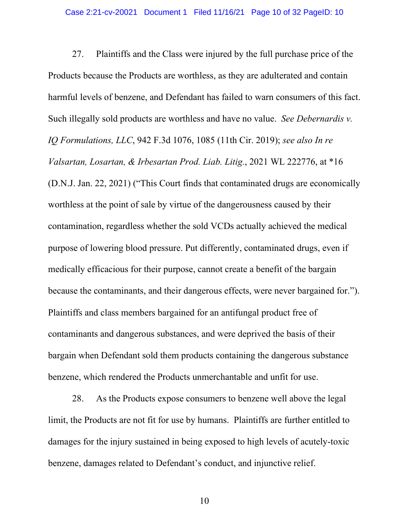27. Plaintiffs and the Class were injured by the full purchase price of the Products because the Products are worthless, as they are adulterated and contain harmful levels of benzene, and Defendant has failed to warn consumers of this fact. Such illegally sold products are worthless and have no value. *See Debernardis v. IQ Formulations, LLC*, 942 F.3d 1076, 1085 (11th Cir. 2019); *see also In re Valsartan, Losartan, & Irbesartan Prod. Liab. Litig.*, 2021 WL 222776, at \*16 (D.N.J. Jan. 22, 2021) ("This Court finds that contaminated drugs are economically worthless at the point of sale by virtue of the dangerousness caused by their contamination, regardless whether the sold VCDs actually achieved the medical purpose of lowering blood pressure. Put differently, contaminated drugs, even if medically efficacious for their purpose, cannot create a benefit of the bargain because the contaminants, and their dangerous effects, were never bargained for."). Plaintiffs and class members bargained for an antifungal product free of contaminants and dangerous substances, and were deprived the basis of their bargain when Defendant sold them products containing the dangerous substance benzene, which rendered the Products unmerchantable and unfit for use.

28. As the Products expose consumers to benzene well above the legal limit, the Products are not fit for use by humans. Plaintiffs are further entitled to damages for the injury sustained in being exposed to high levels of acutely-toxic benzene, damages related to Defendant's conduct, and injunctive relief.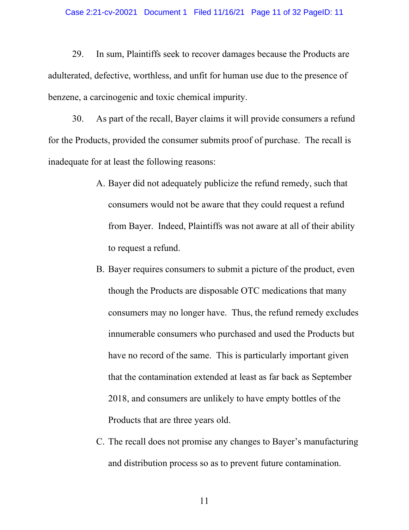#### Case 2:21-cv-20021 Document 1 Filed 11/16/21 Page 11 of 32 PageID: 11

29. In sum, Plaintiffs seek to recover damages because the Products are adulterated, defective, worthless, and unfit for human use due to the presence of benzene, a carcinogenic and toxic chemical impurity.

30. As part of the recall, Bayer claims it will provide consumers a refund for the Products, provided the consumer submits proof of purchase. The recall is inadequate for at least the following reasons:

- A. Bayer did not adequately publicize the refund remedy, such that consumers would not be aware that they could request a refund from Bayer. Indeed, Plaintiffs was not aware at all of their ability to request a refund.
- B. Bayer requires consumers to submit a picture of the product, even though the Products are disposable OTC medications that many consumers may no longer have. Thus, the refund remedy excludes innumerable consumers who purchased and used the Products but have no record of the same. This is particularly important given that the contamination extended at least as far back as September 2018, and consumers are unlikely to have empty bottles of the Products that are three years old.
- C. The recall does not promise any changes to Bayer's manufacturing and distribution process so as to prevent future contamination.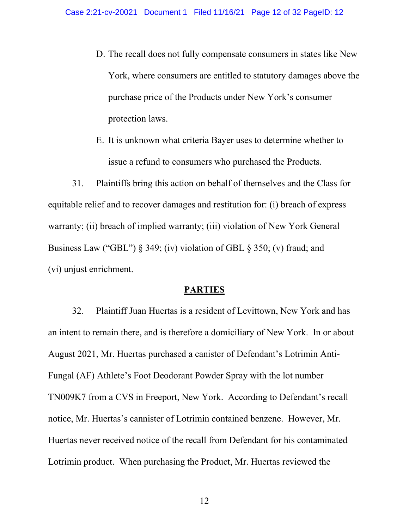- D. The recall does not fully compensate consumers in states like New York, where consumers are entitled to statutory damages above the purchase price of the Products under New York's consumer protection laws.
- E. It is unknown what criteria Bayer uses to determine whether to issue a refund to consumers who purchased the Products.

31. Plaintiffs bring this action on behalf of themselves and the Class for equitable relief and to recover damages and restitution for: (i) breach of express warranty; (ii) breach of implied warranty; (iii) violation of New York General Business Law ("GBL") § 349; (iv) violation of GBL § 350; (v) fraud; and (vi) unjust enrichment.

### **PARTIES**

32. Plaintiff Juan Huertas is a resident of Levittown, New York and has an intent to remain there, and is therefore a domiciliary of New York. In or about August 2021, Mr. Huertas purchased a canister of Defendant's Lotrimin Anti-Fungal (AF) Athlete's Foot Deodorant Powder Spray with the lot number TN009K7 from a CVS in Freeport, New York. According to Defendant's recall notice, Mr. Huertas's cannister of Lotrimin contained benzene. However, Mr. Huertas never received notice of the recall from Defendant for his contaminated Lotrimin product. When purchasing the Product, Mr. Huertas reviewed the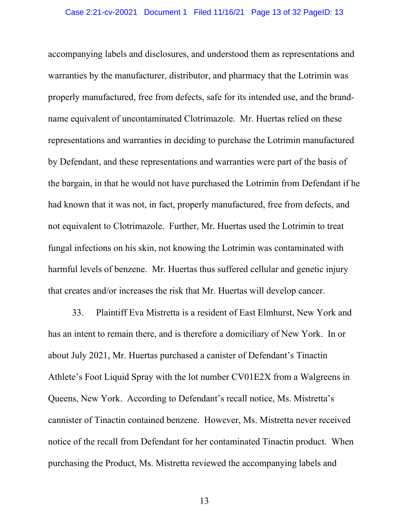accompanying labels and disclosures, and understood them as representations and warranties by the manufacturer, distributor, and pharmacy that the Lotrimin was properly manufactured, free from defects, safe for its intended use, and the brandname equivalent of uncontaminated Clotrimazole. Mr. Huertas relied on these representations and warranties in deciding to purchase the Lotrimin manufactured by Defendant, and these representations and warranties were part of the basis of the bargain, in that he would not have purchased the Lotrimin from Defendant if he had known that it was not, in fact, properly manufactured, free from defects, and not equivalent to Clotrimazole. Further, Mr. Huertas used the Lotrimin to treat fungal infections on his skin, not knowing the Lotrimin was contaminated with harmful levels of benzene. Mr. Huertas thus suffered cellular and genetic injury that creates and/or increases the risk that Mr. Huertas will develop cancer.

33. Plaintiff Eva Mistretta is a resident of East Elmhurst, New York and has an intent to remain there, and is therefore a domiciliary of New York. In or about July 2021, Mr. Huertas purchased a canister of Defendant's Tinactin Athlete's Foot Liquid Spray with the lot number CV01E2X from a Walgreens in Queens, New York. According to Defendant's recall notice, Ms. Mistretta's cannister of Tinactin contained benzene. However, Ms. Mistretta never received notice of the recall from Defendant for her contaminated Tinactin product. When purchasing the Product, Ms. Mistretta reviewed the accompanying labels and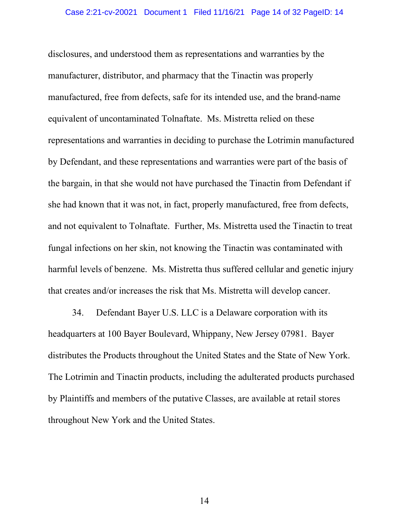disclosures, and understood them as representations and warranties by the manufacturer, distributor, and pharmacy that the Tinactin was properly manufactured, free from defects, safe for its intended use, and the brand-name equivalent of uncontaminated Tolnaftate. Ms. Mistretta relied on these representations and warranties in deciding to purchase the Lotrimin manufactured by Defendant, and these representations and warranties were part of the basis of the bargain, in that she would not have purchased the Tinactin from Defendant if she had known that it was not, in fact, properly manufactured, free from defects, and not equivalent to Tolnaftate. Further, Ms. Mistretta used the Tinactin to treat fungal infections on her skin, not knowing the Tinactin was contaminated with harmful levels of benzene. Ms. Mistretta thus suffered cellular and genetic injury that creates and/or increases the risk that Ms. Mistretta will develop cancer.

34. Defendant Bayer U.S. LLC is a Delaware corporation with its headquarters at 100 Bayer Boulevard, Whippany, New Jersey 07981. Bayer distributes the Products throughout the United States and the State of New York. The Lotrimin and Tinactin products, including the adulterated products purchased by Plaintiffs and members of the putative Classes, are available at retail stores throughout New York and the United States.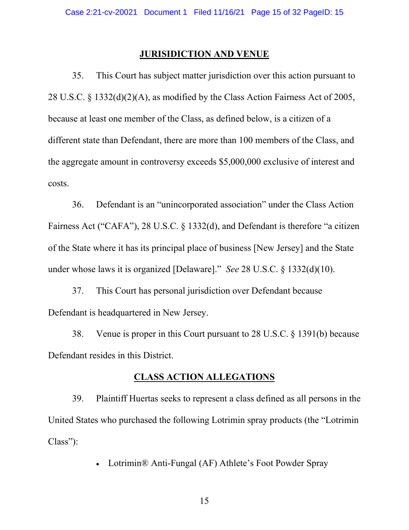### **JURISIDICTION AND VENUE**

35. This Court has subject matter jurisdiction over this action pursuant to 28 U.S.C. § 1332(d)(2)(A), as modified by the Class Action Fairness Act of 2005, because at least one member of the Class, as defined below, is a citizen of a different state than Defendant, there are more than 100 members of the Class, and the aggregate amount in controversy exceeds \$5,000,000 exclusive of interest and costs.

36. Defendant is an "unincorporated association" under the Class Action Fairness Act ("CAFA"), 28 U.S.C. § 1332(d), and Defendant is therefore "a citizen of the State where it has its principal place of business [New Jersey] and the State under whose laws it is organized [Delaware]." *See* 28 U.S.C. § 1332(d)(10).

37. This Court has personal jurisdiction over Defendant because Defendant is headquartered in New Jersey.

38. Venue is proper in this Court pursuant to 28 U.S.C. § 1391(b) because Defendant resides in this District.

## **CLASS ACTION ALLEGATIONS**

39. Plaintiff Huertas seeks to represent a class defined as all persons in the United States who purchased the following Lotrimin spray products (the "Lotrimin Class"):

• Lotrimin® Anti-Fungal (AF) Athlete's Foot Powder Spray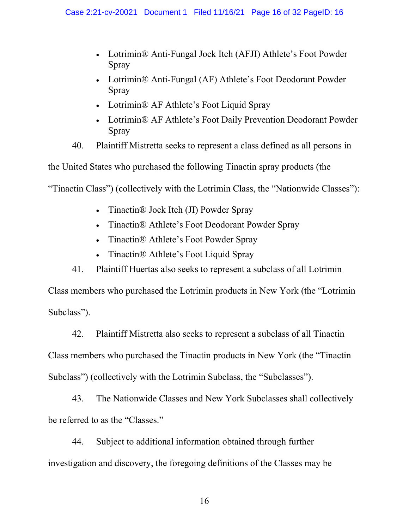- Lotrimin® Anti-Fungal Jock Itch (AFJI) Athlete's Foot Powder Spray
- Lotrimin® Anti-Fungal (AF) Athlete's Foot Deodorant Powder Spray
- Lotrimin® AF Athlete's Foot Liquid Spray
- Lotrimin® AF Athlete's Foot Daily Prevention Deodorant Powder Spray
- 40. Plaintiff Mistretta seeks to represent a class defined as all persons in

the United States who purchased the following Tinactin spray products (the

"Tinactin Class") (collectively with the Lotrimin Class, the "Nationwide Classes"):

- Tinactin® Jock Itch (JI) Powder Spray
- Tinactin® Athlete's Foot Deodorant Powder Spray
- Tinactin® Athlete's Foot Powder Spray
- Tinactin $\mathbb{R}$  Athlete's Foot Liquid Spray
- 41. Plaintiff Huertas also seeks to represent a subclass of all Lotrimin

Class members who purchased the Lotrimin products in New York (the "Lotrimin Subclass").

42. Plaintiff Mistretta also seeks to represent a subclass of all Tinactin

Class members who purchased the Tinactin products in New York (the "Tinactin Subclass") (collectively with the Lotrimin Subclass, the "Subclasses").

43. The Nationwide Classes and New York Subclasses shall collectively be referred to as the "Classes."

44. Subject to additional information obtained through further investigation and discovery, the foregoing definitions of the Classes may be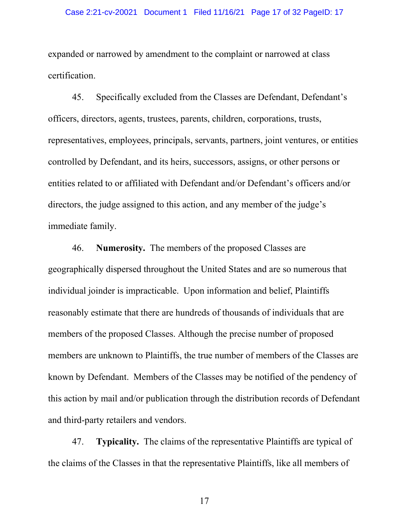expanded or narrowed by amendment to the complaint or narrowed at class certification.

45. Specifically excluded from the Classes are Defendant, Defendant's officers, directors, agents, trustees, parents, children, corporations, trusts, representatives, employees, principals, servants, partners, joint ventures, or entities controlled by Defendant, and its heirs, successors, assigns, or other persons or entities related to or affiliated with Defendant and/or Defendant's officers and/or directors, the judge assigned to this action, and any member of the judge's immediate family.

46. **Numerosity.** The members of the proposed Classes are geographically dispersed throughout the United States and are so numerous that individual joinder is impracticable. Upon information and belief, Plaintiffs reasonably estimate that there are hundreds of thousands of individuals that are members of the proposed Classes. Although the precise number of proposed members are unknown to Plaintiffs, the true number of members of the Classes are known by Defendant. Members of the Classes may be notified of the pendency of this action by mail and/or publication through the distribution records of Defendant and third-party retailers and vendors.

47. **Typicality.** The claims of the representative Plaintiffs are typical of the claims of the Classes in that the representative Plaintiffs, like all members of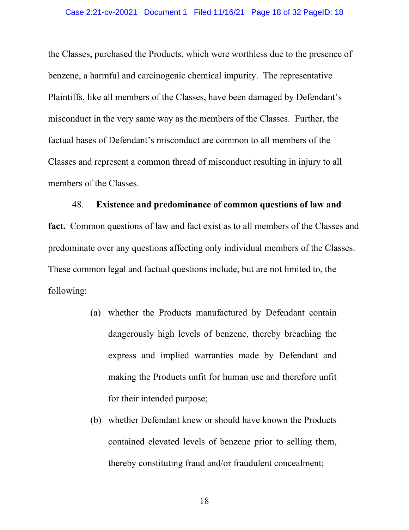the Classes, purchased the Products, which were worthless due to the presence of benzene, a harmful and carcinogenic chemical impurity. The representative Plaintiffs, like all members of the Classes, have been damaged by Defendant's misconduct in the very same way as the members of the Classes. Further, the factual bases of Defendant's misconduct are common to all members of the Classes and represent a common thread of misconduct resulting in injury to all members of the Classes.

### 48. **Existence and predominance of common questions of law and**

**fact.** Common questions of law and fact exist as to all members of the Classes and predominate over any questions affecting only individual members of the Classes. These common legal and factual questions include, but are not limited to, the following:

- (a) whether the Products manufactured by Defendant contain dangerously high levels of benzene, thereby breaching the express and implied warranties made by Defendant and making the Products unfit for human use and therefore unfit for their intended purpose;
- (b) whether Defendant knew or should have known the Products contained elevated levels of benzene prior to selling them, thereby constituting fraud and/or fraudulent concealment;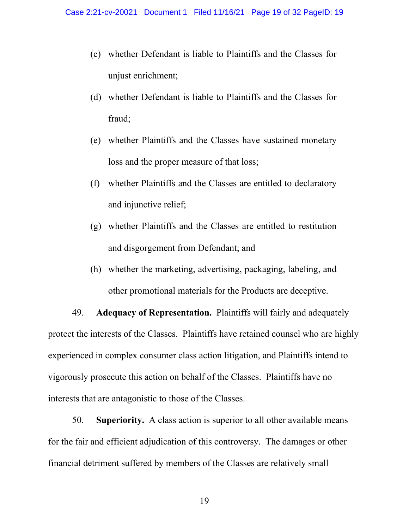- (c) whether Defendant is liable to Plaintiffs and the Classes for unjust enrichment;
- (d) whether Defendant is liable to Plaintiffs and the Classes for fraud;
- (e) whether Plaintiffs and the Classes have sustained monetary loss and the proper measure of that loss;
- (f) whether Plaintiffs and the Classes are entitled to declaratory and injunctive relief;
- (g) whether Plaintiffs and the Classes are entitled to restitution and disgorgement from Defendant; and
- (h) whether the marketing, advertising, packaging, labeling, and other promotional materials for the Products are deceptive.

49. **Adequacy of Representation.** Plaintiffs will fairly and adequately protect the interests of the Classes. Plaintiffs have retained counsel who are highly experienced in complex consumer class action litigation, and Plaintiffs intend to vigorously prosecute this action on behalf of the Classes. Plaintiffs have no interests that are antagonistic to those of the Classes.

50. **Superiority.** A class action is superior to all other available means for the fair and efficient adjudication of this controversy. The damages or other financial detriment suffered by members of the Classes are relatively small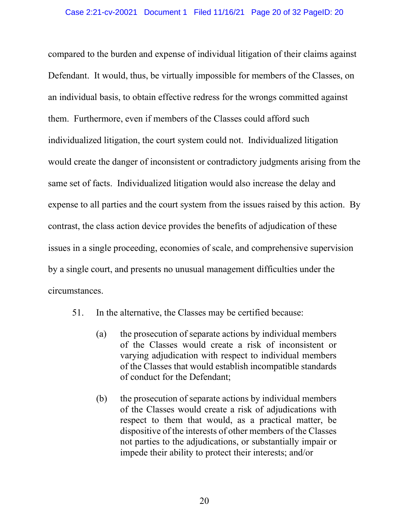compared to the burden and expense of individual litigation of their claims against Defendant. It would, thus, be virtually impossible for members of the Classes, on an individual basis, to obtain effective redress for the wrongs committed against them. Furthermore, even if members of the Classes could afford such individualized litigation, the court system could not. Individualized litigation would create the danger of inconsistent or contradictory judgments arising from the same set of facts. Individualized litigation would also increase the delay and expense to all parties and the court system from the issues raised by this action. By contrast, the class action device provides the benefits of adjudication of these issues in a single proceeding, economies of scale, and comprehensive supervision by a single court, and presents no unusual management difficulties under the circumstances.

- 51. In the alternative, the Classes may be certified because:
	- (a) the prosecution of separate actions by individual members of the Classes would create a risk of inconsistent or varying adjudication with respect to individual members of the Classes that would establish incompatible standards of conduct for the Defendant;
	- (b) the prosecution of separate actions by individual members of the Classes would create a risk of adjudications with respect to them that would, as a practical matter, be dispositive of the interests of other members of the Classes not parties to the adjudications, or substantially impair or impede their ability to protect their interests; and/or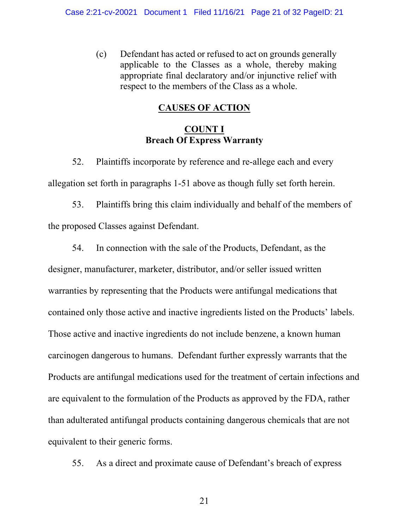(c) Defendant has acted or refused to act on grounds generally applicable to the Classes as a whole, thereby making appropriate final declaratory and/or injunctive relief with respect to the members of the Class as a whole.

# **CAUSES OF ACTION**

# **COUNT I Breach Of Express Warranty**

52. Plaintiffs incorporate by reference and re-allege each and every allegation set forth in paragraphs 1-51 above as though fully set forth herein.

53. Plaintiffs bring this claim individually and behalf of the members of the proposed Classes against Defendant.

54. In connection with the sale of the Products, Defendant, as the designer, manufacturer, marketer, distributor, and/or seller issued written warranties by representing that the Products were antifungal medications that contained only those active and inactive ingredients listed on the Products' labels. Those active and inactive ingredients do not include benzene, a known human carcinogen dangerous to humans. Defendant further expressly warrants that the Products are antifungal medications used for the treatment of certain infections and are equivalent to the formulation of the Products as approved by the FDA, rather than adulterated antifungal products containing dangerous chemicals that are not equivalent to their generic forms.

55. As a direct and proximate cause of Defendant's breach of express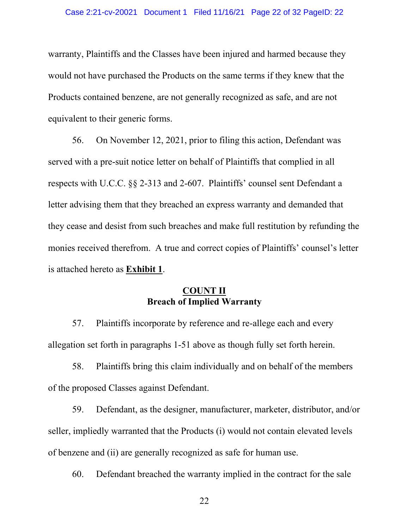warranty, Plaintiffs and the Classes have been injured and harmed because they would not have purchased the Products on the same terms if they knew that the Products contained benzene, are not generally recognized as safe, and are not equivalent to their generic forms.

56. On November 12, 2021, prior to filing this action, Defendant was served with a pre-suit notice letter on behalf of Plaintiffs that complied in all respects with U.C.C. §§ 2-313 and 2-607. Plaintiffs' counsel sent Defendant a letter advising them that they breached an express warranty and demanded that they cease and desist from such breaches and make full restitution by refunding the monies received therefrom. A true and correct copies of Plaintiffs' counsel's letter is attached hereto as **Exhibit 1**.

### **COUNT II Breach of Implied Warranty**

57. Plaintiffs incorporate by reference and re-allege each and every allegation set forth in paragraphs 1-51 above as though fully set forth herein.

58. Plaintiffs bring this claim individually and on behalf of the members of the proposed Classes against Defendant.

59. Defendant, as the designer, manufacturer, marketer, distributor, and/or seller, impliedly warranted that the Products (i) would not contain elevated levels of benzene and (ii) are generally recognized as safe for human use.

60. Defendant breached the warranty implied in the contract for the sale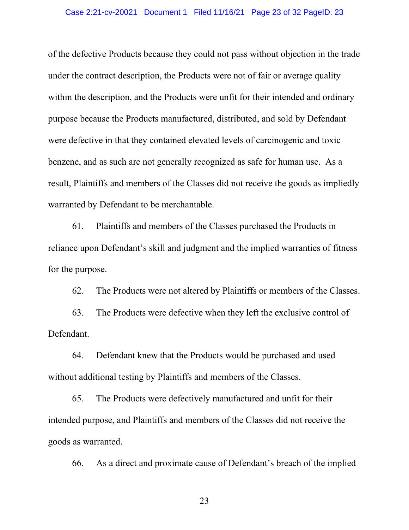#### Case 2:21-cv-20021 Document 1 Filed 11/16/21 Page 23 of 32 PageID: 23

of the defective Products because they could not pass without objection in the trade under the contract description, the Products were not of fair or average quality within the description, and the Products were unfit for their intended and ordinary purpose because the Products manufactured, distributed, and sold by Defendant were defective in that they contained elevated levels of carcinogenic and toxic benzene, and as such are not generally recognized as safe for human use. As a result, Plaintiffs and members of the Classes did not receive the goods as impliedly warranted by Defendant to be merchantable.

61. Plaintiffs and members of the Classes purchased the Products in reliance upon Defendant's skill and judgment and the implied warranties of fitness for the purpose.

62. The Products were not altered by Plaintiffs or members of the Classes.

63. The Products were defective when they left the exclusive control of Defendant.

64. Defendant knew that the Products would be purchased and used without additional testing by Plaintiffs and members of the Classes.

65. The Products were defectively manufactured and unfit for their intended purpose, and Plaintiffs and members of the Classes did not receive the goods as warranted.

66. As a direct and proximate cause of Defendant's breach of the implied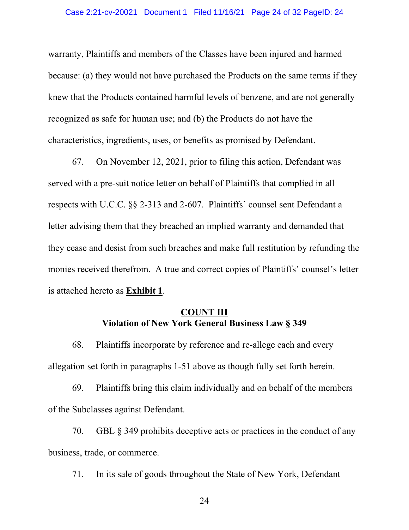warranty, Plaintiffs and members of the Classes have been injured and harmed because: (a) they would not have purchased the Products on the same terms if they knew that the Products contained harmful levels of benzene, and are not generally recognized as safe for human use; and (b) the Products do not have the characteristics, ingredients, uses, or benefits as promised by Defendant.

67. On November 12, 2021, prior to filing this action, Defendant was served with a pre-suit notice letter on behalf of Plaintiffs that complied in all respects with U.C.C. §§ 2-313 and 2-607. Plaintiffs' counsel sent Defendant a letter advising them that they breached an implied warranty and demanded that they cease and desist from such breaches and make full restitution by refunding the monies received therefrom. A true and correct copies of Plaintiffs' counsel's letter is attached hereto as **Exhibit 1**.

## **COUNT III Violation of New York General Business Law § 349**

68. Plaintiffs incorporate by reference and re-allege each and every allegation set forth in paragraphs 1-51 above as though fully set forth herein.

69. Plaintiffs bring this claim individually and on behalf of the members of the Subclasses against Defendant.

70. GBL § 349 prohibits deceptive acts or practices in the conduct of any business, trade, or commerce.

71. In its sale of goods throughout the State of New York, Defendant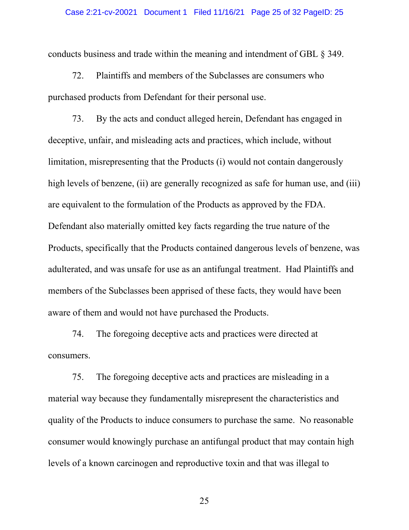#### Case 2:21-cv-20021 Document 1 Filed 11/16/21 Page 25 of 32 PageID: 25

conducts business and trade within the meaning and intendment of GBL § 349.

72. Plaintiffs and members of the Subclasses are consumers who purchased products from Defendant for their personal use.

73. By the acts and conduct alleged herein, Defendant has engaged in deceptive, unfair, and misleading acts and practices, which include, without limitation, misrepresenting that the Products (i) would not contain dangerously high levels of benzene, (ii) are generally recognized as safe for human use, and (iii) are equivalent to the formulation of the Products as approved by the FDA. Defendant also materially omitted key facts regarding the true nature of the Products, specifically that the Products contained dangerous levels of benzene, was adulterated, and was unsafe for use as an antifungal treatment. Had Plaintiffs and members of the Subclasses been apprised of these facts, they would have been aware of them and would not have purchased the Products.

74. The foregoing deceptive acts and practices were directed at consumers.

75. The foregoing deceptive acts and practices are misleading in a material way because they fundamentally misrepresent the characteristics and quality of the Products to induce consumers to purchase the same. No reasonable consumer would knowingly purchase an antifungal product that may contain high levels of a known carcinogen and reproductive toxin and that was illegal to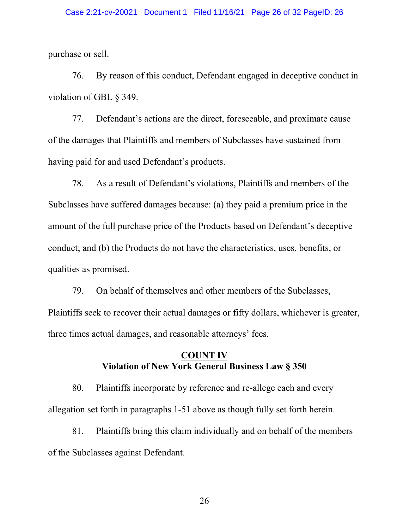purchase or sell.

76. By reason of this conduct, Defendant engaged in deceptive conduct in violation of GBL § 349.

77. Defendant's actions are the direct, foreseeable, and proximate cause of the damages that Plaintiffs and members of Subclasses have sustained from having paid for and used Defendant's products.

78. As a result of Defendant's violations, Plaintiffs and members of the Subclasses have suffered damages because: (a) they paid a premium price in the amount of the full purchase price of the Products based on Defendant's deceptive conduct; and (b) the Products do not have the characteristics, uses, benefits, or qualities as promised.

79. On behalf of themselves and other members of the Subclasses, Plaintiffs seek to recover their actual damages or fifty dollars, whichever is greater, three times actual damages, and reasonable attorneys' fees.

### **COUNT IV Violation of New York General Business Law § 350**

80. Plaintiffs incorporate by reference and re-allege each and every allegation set forth in paragraphs 1-51 above as though fully set forth herein.

81. Plaintiffs bring this claim individually and on behalf of the members of the Subclasses against Defendant.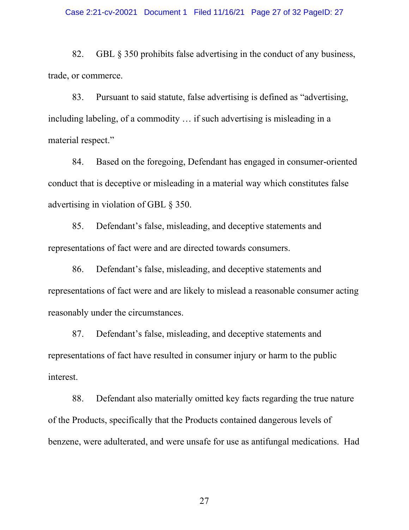#### Case 2:21-cv-20021 Document 1 Filed 11/16/21 Page 27 of 32 PageID: 27

82. GBL § 350 prohibits false advertising in the conduct of any business, trade, or commerce.

83. Pursuant to said statute, false advertising is defined as "advertising, including labeling, of a commodity … if such advertising is misleading in a material respect."

84. Based on the foregoing, Defendant has engaged in consumer-oriented conduct that is deceptive or misleading in a material way which constitutes false advertising in violation of GBL § 350.

85. Defendant's false, misleading, and deceptive statements and representations of fact were and are directed towards consumers.

86. Defendant's false, misleading, and deceptive statements and representations of fact were and are likely to mislead a reasonable consumer acting reasonably under the circumstances.

87. Defendant's false, misleading, and deceptive statements and representations of fact have resulted in consumer injury or harm to the public interest.

88. Defendant also materially omitted key facts regarding the true nature of the Products, specifically that the Products contained dangerous levels of benzene, were adulterated, and were unsafe for use as antifungal medications. Had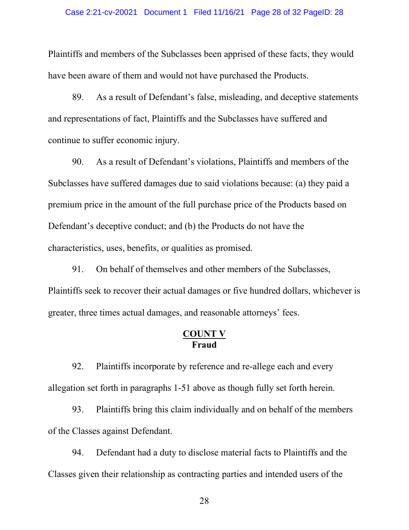#### Case 2:21-cv-20021 Document 1 Filed 11/16/21 Page 28 of 32 PageID: 28

Plaintiffs and members of the Subclasses been apprised of these facts, they would have been aware of them and would not have purchased the Products.

89. As a result of Defendant's false, misleading, and deceptive statements and representations of fact, Plaintiffs and the Subclasses have suffered and continue to suffer economic injury.

90. As a result of Defendant's violations, Plaintiffs and members of the Subclasses have suffered damages due to said violations because: (a) they paid a premium price in the amount of the full purchase price of the Products based on Defendant's deceptive conduct; and (b) the Products do not have the characteristics, uses, benefits, or qualities as promised.

91. On behalf of themselves and other members of the Subclasses, Plaintiffs seek to recover their actual damages or five hundred dollars, whichever is greater, three times actual damages, and reasonable attorneys' fees.

## **COUNT V Fraud**

92. Plaintiffs incorporate by reference and re-allege each and every allegation set forth in paragraphs 1-51 above as though fully set forth herein.

93. Plaintiffs bring this claim individually and on behalf of the members of the Classes against Defendant.

94. Defendant had a duty to disclose material facts to Plaintiffs and the Classes given their relationship as contracting parties and intended users of the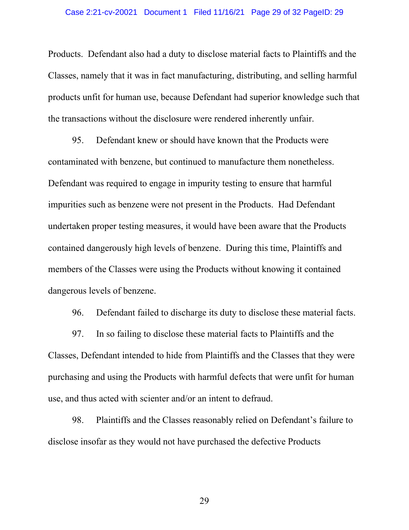#### Case 2:21-cv-20021 Document 1 Filed 11/16/21 Page 29 of 32 PageID: 29

Products. Defendant also had a duty to disclose material facts to Plaintiffs and the Classes, namely that it was in fact manufacturing, distributing, and selling harmful products unfit for human use, because Defendant had superior knowledge such that the transactions without the disclosure were rendered inherently unfair.

95. Defendant knew or should have known that the Products were contaminated with benzene, but continued to manufacture them nonetheless. Defendant was required to engage in impurity testing to ensure that harmful impurities such as benzene were not present in the Products. Had Defendant undertaken proper testing measures, it would have been aware that the Products contained dangerously high levels of benzene. During this time, Plaintiffs and members of the Classes were using the Products without knowing it contained dangerous levels of benzene.

96. Defendant failed to discharge its duty to disclose these material facts.

97. In so failing to disclose these material facts to Plaintiffs and the Classes, Defendant intended to hide from Plaintiffs and the Classes that they were purchasing and using the Products with harmful defects that were unfit for human use, and thus acted with scienter and/or an intent to defraud.

98. Plaintiffs and the Classes reasonably relied on Defendant's failure to disclose insofar as they would not have purchased the defective Products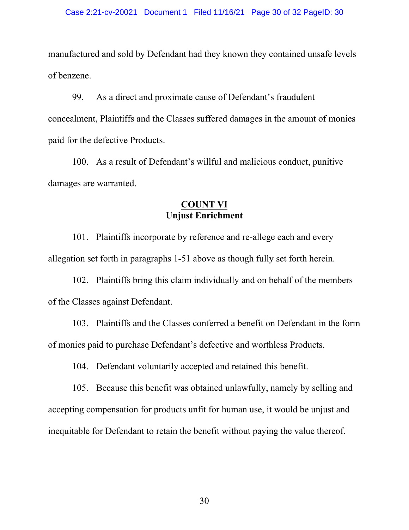manufactured and sold by Defendant had they known they contained unsafe levels of benzene.

99. As a direct and proximate cause of Defendant's fraudulent concealment, Plaintiffs and the Classes suffered damages in the amount of monies paid for the defective Products.

100. As a result of Defendant's willful and malicious conduct, punitive damages are warranted.

# **COUNT VI Unjust Enrichment**

101. Plaintiffs incorporate by reference and re-allege each and every allegation set forth in paragraphs 1-51 above as though fully set forth herein.

102. Plaintiffs bring this claim individually and on behalf of the members of the Classes against Defendant.

103. Plaintiffs and the Classes conferred a benefit on Defendant in the form of monies paid to purchase Defendant's defective and worthless Products.

104. Defendant voluntarily accepted and retained this benefit.

105. Because this benefit was obtained unlawfully, namely by selling and accepting compensation for products unfit for human use, it would be unjust and inequitable for Defendant to retain the benefit without paying the value thereof.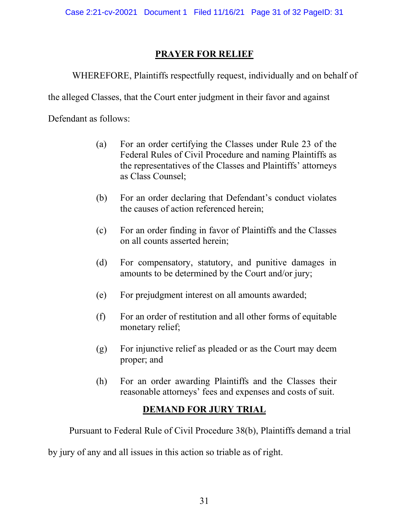# **PRAYER FOR RELIEF**

WHEREFORE, Plaintiffs respectfully request, individually and on behalf of

the alleged Classes, that the Court enter judgment in their favor and against

Defendant as follows:

- (a) For an order certifying the Classes under Rule 23 of the Federal Rules of Civil Procedure and naming Plaintiffs as the representatives of the Classes and Plaintiffs' attorneys as Class Counsel;
- (b) For an order declaring that Defendant's conduct violates the causes of action referenced herein;
- (c) For an order finding in favor of Plaintiffs and the Classes on all counts asserted herein;
- (d) For compensatory, statutory, and punitive damages in amounts to be determined by the Court and/or jury;
- (e) For prejudgment interest on all amounts awarded;
- (f) For an order of restitution and all other forms of equitable monetary relief;
- (g) For injunctive relief as pleaded or as the Court may deem proper; and
- (h) For an order awarding Plaintiffs and the Classes their reasonable attorneys' fees and expenses and costs of suit.

# **DEMAND FOR JURY TRIAL**

Pursuant to Federal Rule of Civil Procedure 38(b), Plaintiffs demand a trial

by jury of any and all issues in this action so triable as of right.